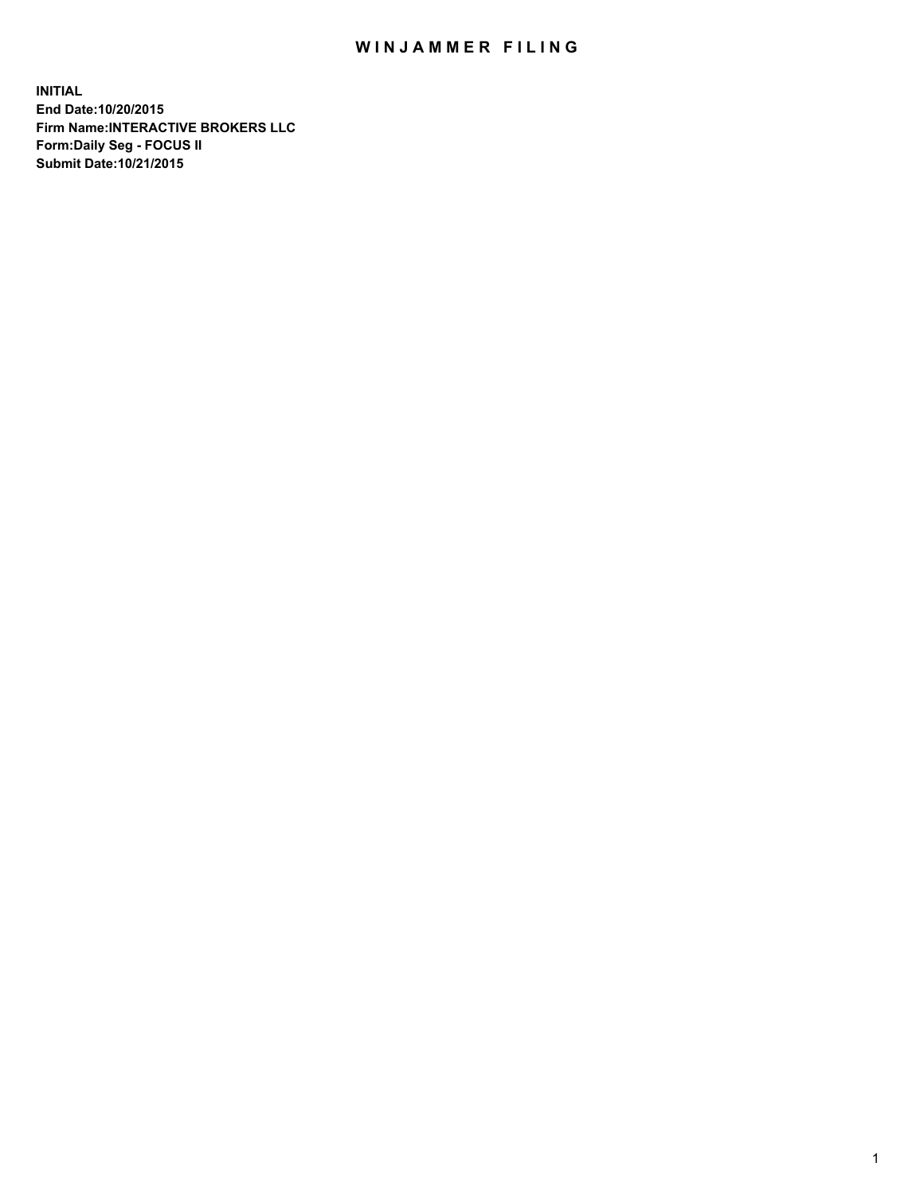## WIN JAMMER FILING

**INITIAL End Date:10/20/2015 Firm Name:INTERACTIVE BROKERS LLC Form:Daily Seg - FOCUS II Submit Date:10/21/2015**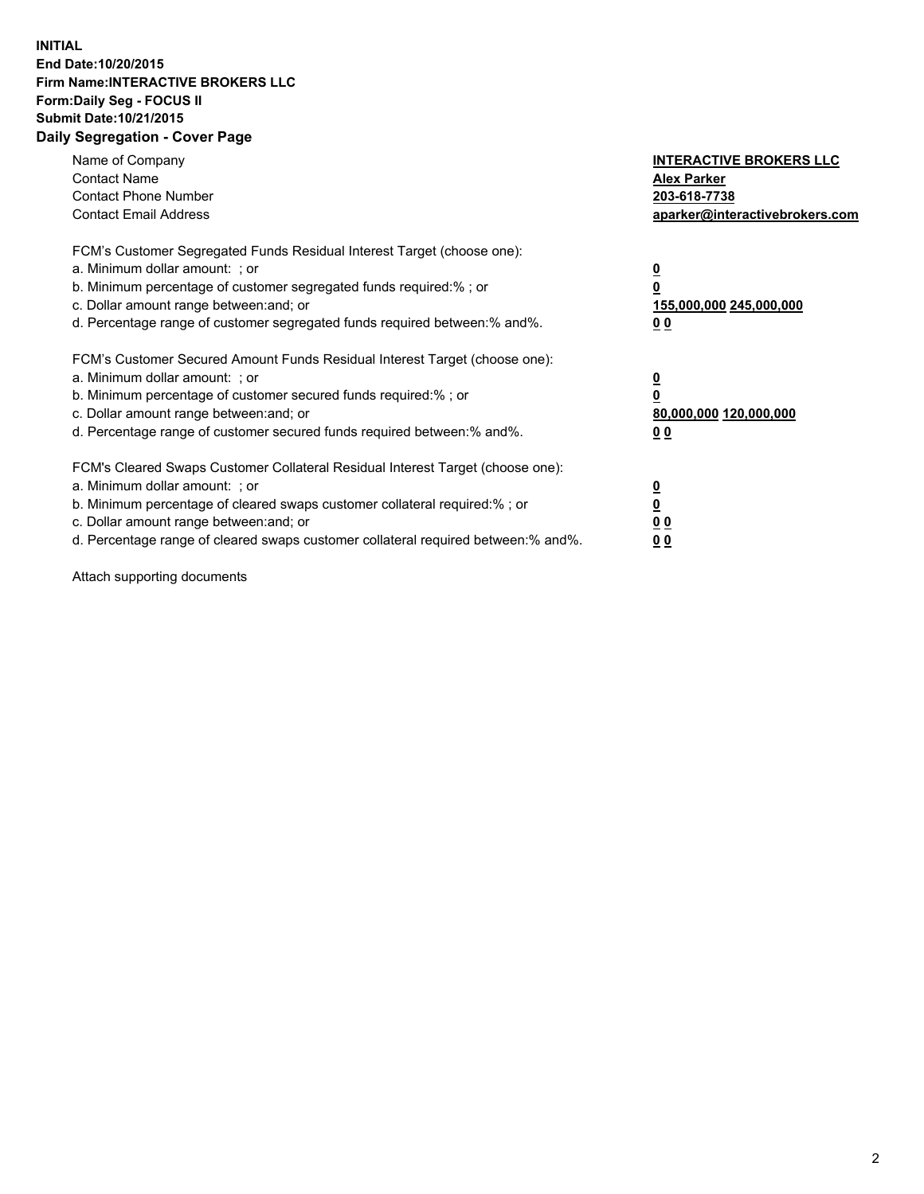## **INITIAL End Date:10/20/2015 Firm Name:INTERACTIVE BROKERS LLC Form:Daily Seg - FOCUS II Submit Date:10/21/2015 Daily Segregation - Cover Page**

| Name of Company<br><b>Contact Name</b><br><b>Contact Phone Number</b><br><b>Contact Email Address</b>                                                                                                                                                                                                                         | <b>INTERACTIVE BROKERS LLC</b><br><b>Alex Parker</b><br>203-618-7738<br>aparker@interactivebrokers.com |
|-------------------------------------------------------------------------------------------------------------------------------------------------------------------------------------------------------------------------------------------------------------------------------------------------------------------------------|--------------------------------------------------------------------------------------------------------|
| FCM's Customer Segregated Funds Residual Interest Target (choose one):<br>a. Minimum dollar amount: ; or<br>b. Minimum percentage of customer segregated funds required:% ; or<br>c. Dollar amount range between: and; or<br>d. Percentage range of customer segregated funds required between:% and%.                        | <u>0</u><br><u>155,000,000 245,000,000</u><br>00                                                       |
| FCM's Customer Secured Amount Funds Residual Interest Target (choose one):<br>a. Minimum dollar amount: ; or<br>b. Minimum percentage of customer secured funds required:% ; or<br>c. Dollar amount range between: and; or<br>d. Percentage range of customer secured funds required between: % and %.                        | $\overline{\mathbf{0}}$<br>80,000,000 120,000,000<br>00                                                |
| FCM's Cleared Swaps Customer Collateral Residual Interest Target (choose one):<br>a. Minimum dollar amount: ; or<br>b. Minimum percentage of cleared swaps customer collateral required:%; or<br>c. Dollar amount range between: and; or<br>d. Percentage range of cleared swaps customer collateral required between:% and%. | <u>0</u><br>0 <sub>0</sub><br><u>00</u>                                                                |

Attach supporting documents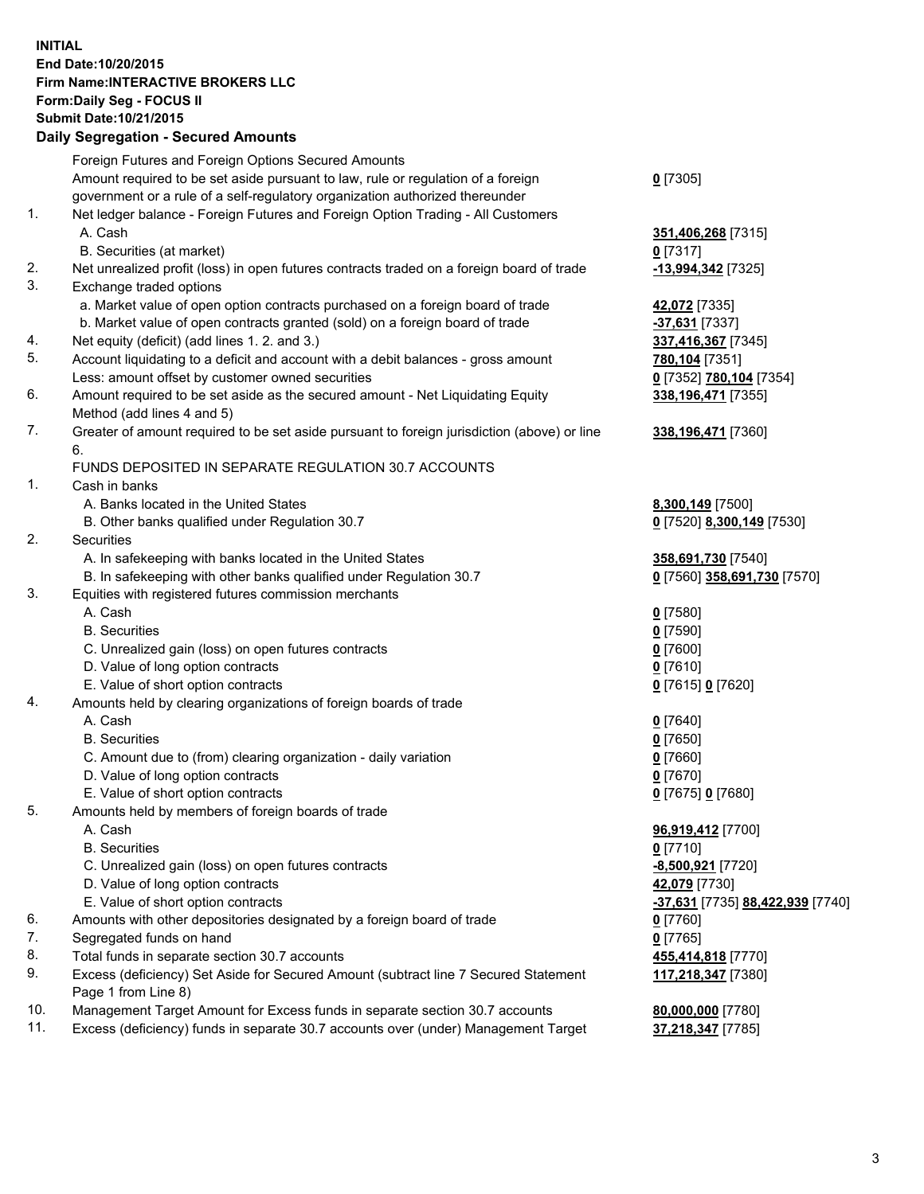## **INITIAL End Date:10/20/2015 Firm Name:INTERACTIVE BROKERS LLC Form:Daily Seg - FOCUS II Submit Date:10/21/2015 Daily Segregation - Secured Amounts**

|                | Daily Segregation - Secured Amounts                                                                        |                                  |
|----------------|------------------------------------------------------------------------------------------------------------|----------------------------------|
|                | Foreign Futures and Foreign Options Secured Amounts                                                        |                                  |
|                | Amount required to be set aside pursuant to law, rule or regulation of a foreign                           | $0$ [7305]                       |
|                | government or a rule of a self-regulatory organization authorized thereunder                               |                                  |
| 1.             | Net ledger balance - Foreign Futures and Foreign Option Trading - All Customers                            |                                  |
|                | A. Cash                                                                                                    | 351,406,268 [7315]               |
|                | B. Securities (at market)                                                                                  | $0$ [7317]                       |
| 2.             | Net unrealized profit (loss) in open futures contracts traded on a foreign board of trade                  | -13,994,342 [7325]               |
| 3.             | Exchange traded options                                                                                    |                                  |
|                | a. Market value of open option contracts purchased on a foreign board of trade                             | 42,072 [7335]                    |
|                | b. Market value of open contracts granted (sold) on a foreign board of trade                               | -37,631 [7337]                   |
| 4.             | Net equity (deficit) (add lines 1.2. and 3.)                                                               | 337,416,367 [7345]               |
| 5.             | Account liquidating to a deficit and account with a debit balances - gross amount                          | 780,104 [7351]                   |
|                | Less: amount offset by customer owned securities                                                           | 0 [7352] 780,104 [7354]          |
| 6.             | Amount required to be set aside as the secured amount - Net Liquidating Equity                             | 338, 196, 471 [7355]             |
|                | Method (add lines 4 and 5)                                                                                 |                                  |
| 7.             | Greater of amount required to be set aside pursuant to foreign jurisdiction (above) or line                | 338, 196, 471 [7360]             |
|                | 6.                                                                                                         |                                  |
|                | FUNDS DEPOSITED IN SEPARATE REGULATION 30.7 ACCOUNTS                                                       |                                  |
| $\mathbf{1}$ . | Cash in banks                                                                                              |                                  |
|                | A. Banks located in the United States                                                                      | 8,300,149 [7500]                 |
|                | B. Other banks qualified under Regulation 30.7                                                             | 0 [7520] 8,300,149 [7530]        |
| 2.             | Securities                                                                                                 |                                  |
|                | A. In safekeeping with banks located in the United States                                                  | 358,691,730 [7540]               |
|                | B. In safekeeping with other banks qualified under Regulation 30.7                                         | 0 [7560] 358,691,730 [7570]      |
| 3.             | Equities with registered futures commission merchants                                                      |                                  |
|                | A. Cash                                                                                                    | $0$ [7580]                       |
|                | <b>B.</b> Securities                                                                                       | $0$ [7590]                       |
|                | C. Unrealized gain (loss) on open futures contracts                                                        | $0$ [7600]                       |
|                | D. Value of long option contracts                                                                          | $0$ [7610]                       |
|                | E. Value of short option contracts                                                                         | 0 [7615] 0 [7620]                |
| 4.             | Amounts held by clearing organizations of foreign boards of trade                                          |                                  |
|                | A. Cash                                                                                                    | $0$ [7640]                       |
|                | <b>B.</b> Securities                                                                                       | $0$ [7650]                       |
|                | C. Amount due to (from) clearing organization - daily variation                                            | $0$ [7660]                       |
|                | D. Value of long option contracts                                                                          | $0$ [7670]                       |
|                | E. Value of short option contracts                                                                         | 0 [7675] 0 [7680]                |
| 5.             | Amounts held by members of foreign boards of trade                                                         |                                  |
|                | A. Cash                                                                                                    | 96,919,412 [7700]                |
|                | <b>B.</b> Securities                                                                                       | $0$ [7710]                       |
|                | C. Unrealized gain (loss) on open futures contracts                                                        | <u>-8,500,921</u> [7720]         |
|                | D. Value of long option contracts                                                                          | 42,079 [7730]                    |
|                | E. Value of short option contracts                                                                         | -37,631 [7735] 88,422,939 [7740] |
| 6.             | Amounts with other depositories designated by a foreign board of trade                                     | 0 [7760]                         |
| 7.             | Segregated funds on hand                                                                                   | $0$ [7765]                       |
| 8.             | Total funds in separate section 30.7 accounts                                                              | 455,414,818 [7770]               |
| 9.             | Excess (deficiency) Set Aside for Secured Amount (subtract line 7 Secured Statement<br>Page 1 from Line 8) | 117,218,347 [7380]               |
| 10.            | Management Target Amount for Excess funds in separate section 30.7 accounts                                | 80,000,000 [7780]                |
| 11.            | Excess (deficiency) funds in separate 30.7 accounts over (under) Management Target                         | 37,218,347 [7785]                |
|                |                                                                                                            |                                  |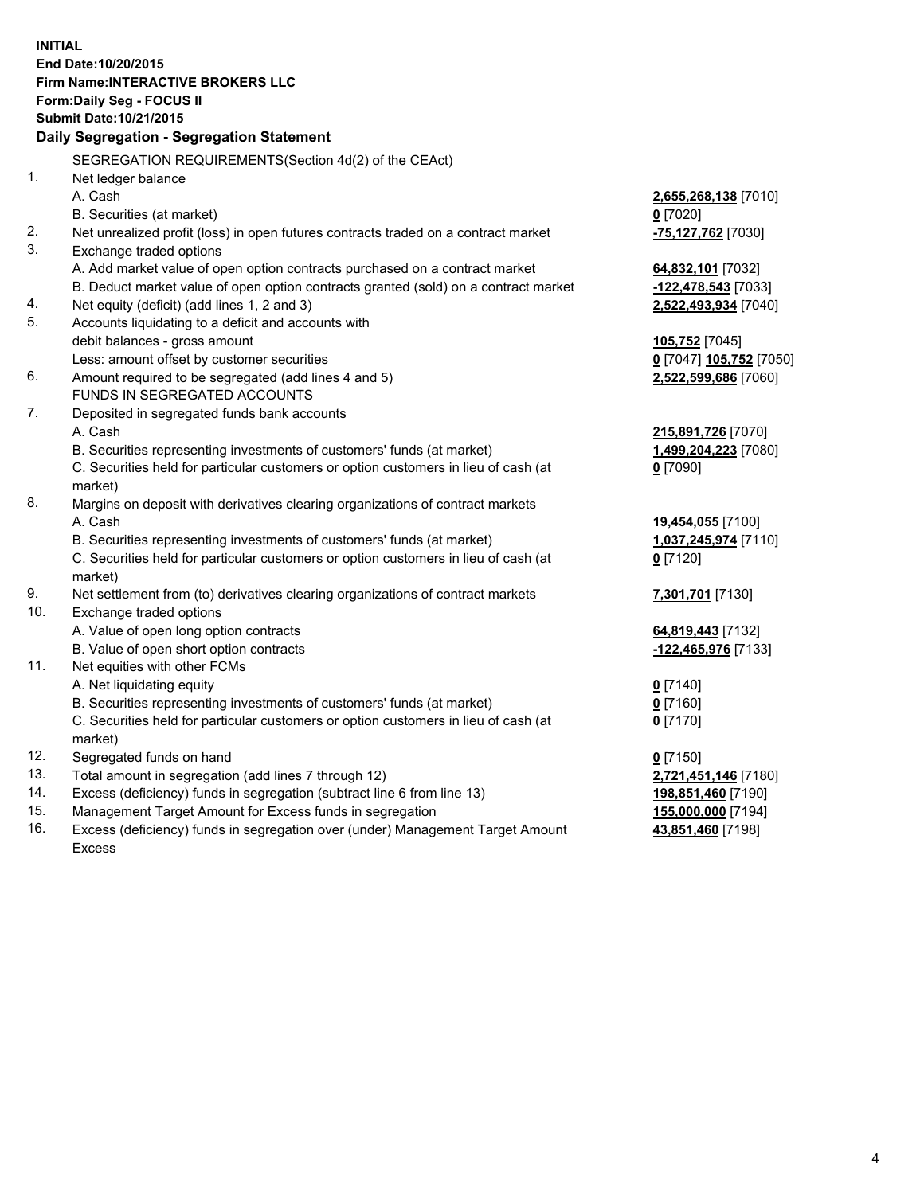**INITIAL End Date:10/20/2015 Firm Name:INTERACTIVE BROKERS LLC Form:Daily Seg - FOCUS II Submit Date:10/21/2015 Daily Segregation - Segregation Statement** SEGREGATION REQUIREMENTS(Section 4d(2) of the CEAct) 1. Net ledger balance A. Cash **2,655,268,138** [7010] B. Securities (at market) **0** [7020] 2. Net unrealized profit (loss) in open futures contracts traded on a contract market **-75,127,762** [7030] 3. Exchange traded options A. Add market value of open option contracts purchased on a contract market **64,832,101** [7032] B. Deduct market value of open option contracts granted (sold) on a contract market **-122,478,543** [7033] 4. Net equity (deficit) (add lines 1, 2 and 3) **2,522,493,934** [7040] 5. Accounts liquidating to a deficit and accounts with debit balances - gross amount **105,752** [7045] Less: amount offset by customer securities **0** [7047] **105,752** [7050] 6. Amount required to be segregated (add lines 4 and 5) **2,522,599,686** [7060] FUNDS IN SEGREGATED ACCOUNTS 7. Deposited in segregated funds bank accounts A. Cash **215,891,726** [7070] B. Securities representing investments of customers' funds (at market) **1,499,204,223** [7080] C. Securities held for particular customers or option customers in lieu of cash (at market) **0** [7090] 8. Margins on deposit with derivatives clearing organizations of contract markets A. Cash **19,454,055** [7100] B. Securities representing investments of customers' funds (at market) **1,037,245,974** [7110] C. Securities held for particular customers or option customers in lieu of cash (at market) **0** [7120] 9. Net settlement from (to) derivatives clearing organizations of contract markets **7,301,701** [7130] 10. Exchange traded options A. Value of open long option contracts **64,819,443** [7132] B. Value of open short option contracts **-122,465,976** [7133] 11. Net equities with other FCMs A. Net liquidating equity **0** [7140] B. Securities representing investments of customers' funds (at market) **0** [7160] C. Securities held for particular customers or option customers in lieu of cash (at market) **0** [7170] 12. Segregated funds on hand **0** [7150] 13. Total amount in segregation (add lines 7 through 12) **2,721,451,146** [7180] 14. Excess (deficiency) funds in segregation (subtract line 6 from line 13) **198,851,460** [7190] 15. Management Target Amount for Excess funds in segregation **155,000,000** [7194] **43,851,460** [7198]

16. Excess (deficiency) funds in segregation over (under) Management Target Amount Excess

4